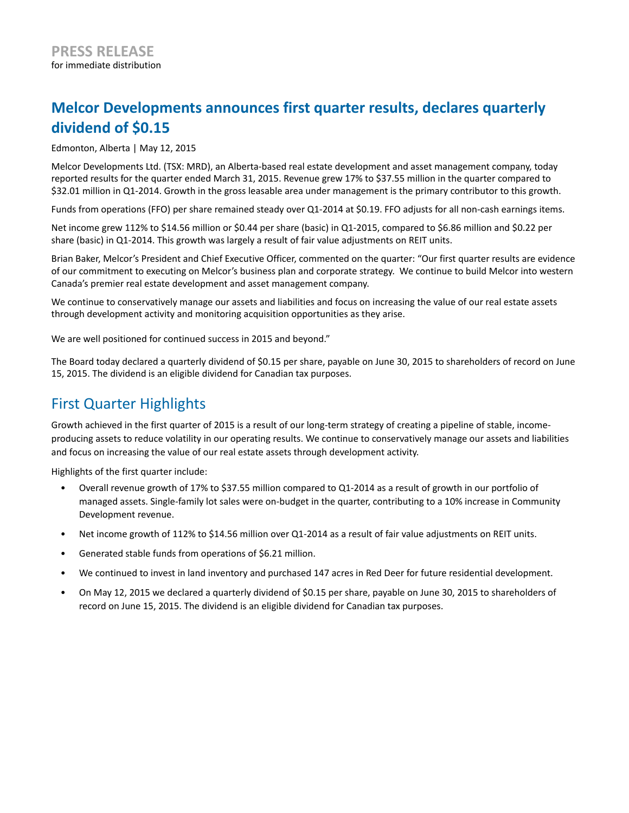# **Melcor Developments announces first quarter results, declares quarterly dividend of \$0.15**

### Edmonton, Alberta | May 12, 2015

Melcor Developments Ltd. (TSX: MRD), an Alberta-based real estate development and asset management company, today reported results for the quarter ended March 31, 2015. Revenue grew 17% to \$37.55 million in the quarter compared to \$32.01 million in Q1-2014. Growth in the gross leasable area under management is the primary contributor to this growth.

Funds from operations (FFO) per share remained steady over Q1-2014 at \$0.19. FFO adjusts for all non-cash earnings items.

Net income grew 112% to \$14.56 million or \$0.44 per share (basic) in Q1-2015, compared to \$6.86 million and \$0.22 per share (basic) in Q1-2014. This growth was largely a result of fair value adjustments on REIT units.

Brian Baker, Melcor's President and Chief Executive Officer, commented on the quarter: "Our first quarter results are evidence of our commitment to executing on Melcor's business plan and corporate strategy. We continue to build Melcor into western Canada's premier real estate development and asset management company.

We continue to conservatively manage our assets and liabilities and focus on increasing the value of our real estate assets through development activity and monitoring acquisition opportunities as they arise.

We are well positioned for continued success in 2015 and beyond."

The Board today declared a quarterly dividend of \$0.15 per share, payable on June 30, 2015 to shareholders of record on June 15, 2015. The dividend is an eligible dividend for Canadian tax purposes.

### First Quarter Highlights

Growth achieved in the first quarter of 2015 is a result of our long-term strategy of creating a pipeline of stable, incomeproducing assets to reduce volatility in our operating results. We continue to conservatively manage our assets and liabilities and focus on increasing the value of our real estate assets through development activity.

Highlights of the first quarter include:

- Overall revenue growth of 17% to \$37.55 million compared to Q1-2014 as a result of growth in our portfolio of managed assets. Single-family lot sales were on-budget in the quarter, contributing to a 10% increase in Community Development revenue.
- Net income growth of 112% to \$14.56 million over Q1-2014 as a result of fair value adjustments on REIT units.
- Generated stable funds from operations of \$6.21 million.
- We continued to invest in land inventory and purchased 147 acres in Red Deer for future residential development.
- On May 12, 2015 we declared a quarterly dividend of \$0.15 per share, payable on June 30, 2015 to shareholders of record on June 15, 2015. The dividend is an eligible dividend for Canadian tax purposes.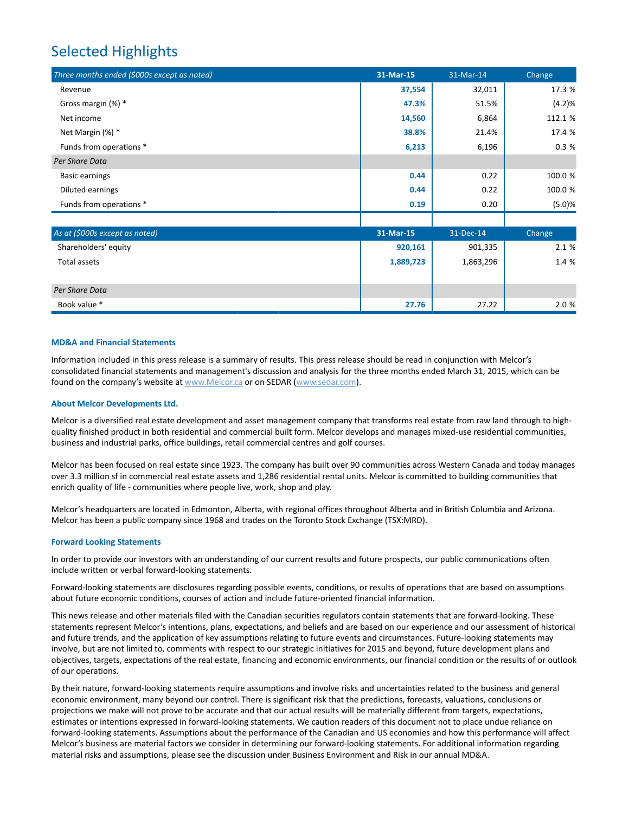# Selected Highlights

| Three months ended (\$000s except as noted) | 31-Mar-15 | 31-Mar-14 | Change  |
|---------------------------------------------|-----------|-----------|---------|
| Revenue                                     | 37,554    | 32,011    | 17.3 %  |
| Gross margin (%) *                          | 47.3%     | 51.5%     | (4.2)%  |
| Net income                                  | 14,560    | 6,864     | 112.1 % |
| Net Margin (%) *                            | 38.8%     | 21.4%     | 17.4 %  |
| Funds from operations *                     | 6,213     | 6,196     | 0.3%    |
| Per Share Data                              |           |           |         |
| Basic earnings                              | 0.44      | 0.22      | 100.0 % |
| Diluted earnings                            | 0.44      | 0.22      | 100.0 % |
| Funds from operations *                     | 0.19      | 0.20      | (5.0)%  |
| As at (\$000s except as noted)              | 31-Mar-15 | 31-Dec-14 | Change  |
|                                             |           |           |         |
| Shareholders' equity                        | 920,161   | 901,335   | 2.1%    |
| Total assets                                | 1,889,723 | 1,863,296 | 1.4 %   |
| Per Share Data                              |           |           |         |
| Book value *                                | 27.76     | 27.22     | 2.0 %   |

#### **MD&A and Financial Statements**

Information included in this press release is a summary of results. This press release should be read in conjunction with Melcor's consolidated financial statements and management's discussion and analysis for the three months ended March 31, 2015, which can be found on the company's website at www.Melcor.ca or on SEDAR (www.sedar.com).

#### **About Melcor Developments Ltd.**

Melcor is a diversified real estate development and asset management company that transforms real estate from raw land through to highquality finished product in both residential and commercial built form. Melcor develops and manages mixed-use residential communities, business and industrial parks, office buildings, retail commercial centres and golf courses.

Melcor has been focused on real estate since 1923. The company has built over 90 communities across Western Canada and today manages over 3.3 million sf in commercial real estate assets and 1,286 residential rental units. Melcor is committed to building communities that enrich quality of life - communities where people live, work, shop and play.

Melcor's headquarters are located in Edmonton, Alberta, with regional offices throughout Alberta and in British Columbia and Arizona. Melcor has been a public company since 1968 and trades on the Toronto Stock Exchange (TSX:MRD).

#### **Forward Looking Statements**

In order to provide our investors with an understanding of our current results and future prospects, our public communications often include written or verbal forward-looking statements.

Forward-looking statements are disclosures regarding possible events, conditions, or results of operations that are based on assumptions about future economic conditions, courses of action and include future-oriented financial information.

This news release and other materials filed with the Canadian securities regulators contain statements that are forward-looking. These statements represent Melcor's intentions, plans, expectations, and beliefs and are based on our experience and our assessment of historical and future trends, and the application of key assumptions relating to future events and circumstances. Future-looking statements may involve, but are not limited to, comments with respect to our strategic initiatives for 2015 and beyond, future development plans and objectives, targets, expectations of the real estate, financing and economic environments, our financial condition or the results of or outlook of our operations.

By their nature, forward-looking statements require assumptions and involve risks and uncertainties related to the business and general economic environment, many beyond our control. There is significant risk that the predictions, forecasts, valuations, conclusions or projections we make will not prove to be accurate and that our actual results will be materially different from targets, expectations, estimates or intentions expressed in forward-looking statements. We caution readers of this document not to place undue reliance on forward-looking statements. Assumptions about the performance of the Canadian and US economies and how this performance will affect Melcor's business are material factors we consider in determining our forward-looking statements. For additional information regarding material risks and assumptions, please see the discussion under Business Environment and Risk in our annual MD&A.